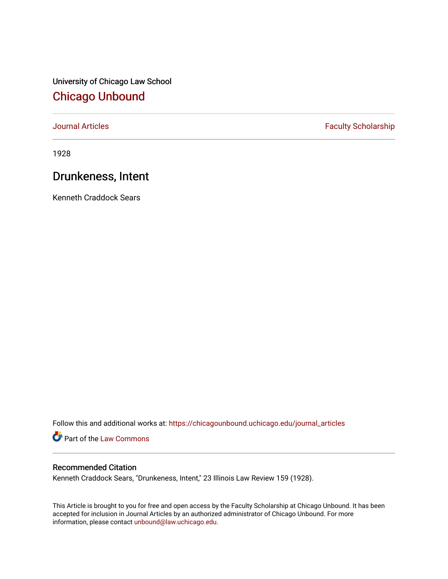University of Chicago Law School [Chicago Unbound](https://chicagounbound.uchicago.edu/)

[Journal Articles](https://chicagounbound.uchicago.edu/journal_articles) **Faculty Scholarship Faculty Scholarship** 

1928

## Drunkeness, Intent

Kenneth Craddock Sears

Follow this and additional works at: [https://chicagounbound.uchicago.edu/journal\\_articles](https://chicagounbound.uchicago.edu/journal_articles?utm_source=chicagounbound.uchicago.edu%2Fjournal_articles%2F9078&utm_medium=PDF&utm_campaign=PDFCoverPages) 

Part of the [Law Commons](http://network.bepress.com/hgg/discipline/578?utm_source=chicagounbound.uchicago.edu%2Fjournal_articles%2F9078&utm_medium=PDF&utm_campaign=PDFCoverPages)

## Recommended Citation

Kenneth Craddock Sears, "Drunkeness, Intent," 23 Illinois Law Review 159 (1928).

This Article is brought to you for free and open access by the Faculty Scholarship at Chicago Unbound. It has been accepted for inclusion in Journal Articles by an authorized administrator of Chicago Unbound. For more information, please contact [unbound@law.uchicago.edu](mailto:unbound@law.uchicago.edu).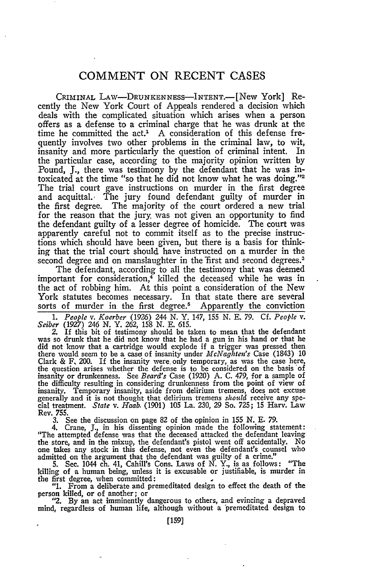## **COMMENT ON RECENT CASES**

CRIMINAL LAW—DRUNKENNESS—INTENT.—[New York] Recently the New York Court of Appeals rendered a decision which deals with the complicated situation which arises when a person offers as a defense to a criminal charge that he was drunk at the time he committed the act.' A consideration of this defense frequently involves two other problems in the criminal law, to wit, insanity and more particularly the question of criminal intent. In the particular case, according to the majority opinion written by Pound, **J.,** there was testimony by the defendant that he was intoxicated at the time "so that he did not know what he was doing."<sup>2</sup> The trial court gave instructions on murder in the first degree and acquittal. The jury found defendant guilty of murder in the first degree. The majority of the court ordered a new trial for the reason that the jury was not given an opportunity to find the defendant guilty of a lesser degree of homicide. The court was apparently careful not to commit itself as to the precise instructions which should have been given, but there is a basis for thinking that the trial court should have instructed on a murder in the second degree and on manslaughter in the first and second degrees.<sup>3</sup>

The defendant, according to all the testimony that was deemed important for consideration,<sup>4</sup> killed the deceased while he was in the act of robbing him. At this point a consideration of the New York statutes becomes necessary. In that state there are several sorts of murder in the first degree.<sup>5</sup> Apparently the conviction

1. People v. Koerber (1926) 244 N. Y. 147, 155 N. E. 79. Cf. People v. Seiber (1927) 246 N. Y. 262, 158 N. E. 615.<br>2. If this bit of testimony should be taken to mean that the defendant

was so drunk that he did not know that he had a gun in his hand or that he did not know that a cartridge would explode if a trigger was pressed then there would seem to be a casel of insanity under *McNaghten's* Case (1843) 10 Clark & F, 200. If the insanity were only temporary, as was the case here, the question arises whether the defense is to be considered on the basis of insanity or drunkenness. See *Beard's* Case (1920) A. C. 479, for a sample of the difficulty resulting in considering drunkenness from the point of view of insanity. Temporary insanity, aside from delirium tremens, does not excuse generally and it is not thought that delirium tremens *should* receive any special treatment. *State v. Haab.* (1901) 105 La. 230, 29 So. 725; 15 Harv. Law Rev. 755.

3. See the discussion on page 82 of the opinion in 155 N. E. 79.

4. Crane, J., in his dissenting opinion made the following statement: "The attempted defense was that the deceased attacked the defendant leaving the store, and in the mixup, the defendant's pistol went off accidentally. No one takes any stock in this defense, not even the defendant's counsel who admitted on the argument that the defendant was guilty of a crime."

5. Sec. 1044 ch. 41, Cahill's Cons. Laws of N. Y., is as follows: "The killing of a human being, unless it is excusable or justifiable, is murder in the first degree, when committed: **I**

**"1.** From a deliberate and premeditated design to effect the death of the person killed, or of another; or

*"2.* **By** an act imminently dangerous to others, and evincing a depraved mind, regardless of human life, although without a 'premeditated design to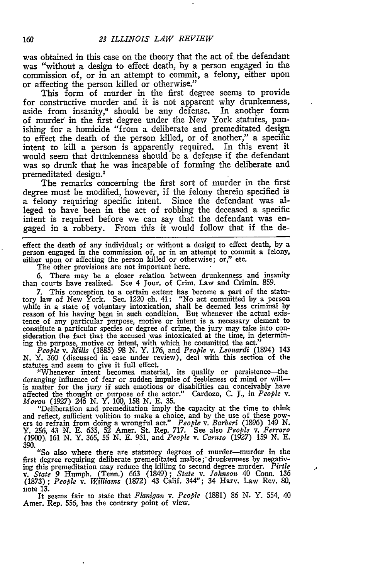was obtained in this case on the theory that the act of the defendant was "without a design to effect death, by a person engaged in the commission of, or in an attempt to commit, a felony, either upon or affecting the person killed or otherwise."

This form of murder in the first degree seems to provide for constructive murder and it is not apparent why drunkenness, aside from insanity,<sup>6</sup> should be any defense. In another form of murder in the first degree under the New York statutes, punishing for a homicide "from a deliberate and premeditated design to effect the death of the person killed, or of another," a specific intent to kill a person is apparently required. In this event it would seem that drunkenness should be a defense if the defendant was so drunk that he was incapable of forming the deliberate and premeditated design. <sup>7</sup>

The remarks concerning the first sort of murder in the first degree must be modified, however, if the felony therein specified is a felony requiring specific intent. Since the defendant was alleged to have been in the act of robbing the deceased a specific intent is required before we can say that the defendant was engaged in a robbery. From this it would follow that if the de-

effect the death of any individual; or without a desigri to effect death, **by** a person engaged in the commission of, or in an attempt to commit a felony, either upon or affecting the person killed or otherwise; or," etc.

The other provisions are not important here.

**6.** There may be a closer relation between drunkenness and insanity than courts have realized. See 4 Jour. of Crim. Law and **Crimin. 859.**

**7.** This conception to a certain extent has become a part of the statutory law of New York. Sec. 1220 ch. 41: "No act committed **by** a person while in a state of voluntary intoxication, shall be deemed less criminal **by** reason of his having been in such condition. But whenever the actual existence of any particular purpose, motive or intent is a necessary element to constitute a particular species or degree of crime, the jury may take into consideration the fact that the accused was intoxicated at the time, in determining the purpose, motive or intent, with which he committed the act.

*People v. Mills* **(1885) 98 N.** Y. **176,** and *People v. Leonardi* (1894) 143 **N.** Y. **360** (discussed in case under review), deal with this section of the statutes and seem to give **it** full effect.

"'Whenever intent becomes material, its quality or persistence--the deranging influence of fear or sudden impulse of feebleness of mind or willis matter for the jury if such emotions or disabilities can conceivably have affected the thought or purpose of the actor." Cardozo, **C. J.,** in *People v.*

*Moran* (1927) 246 *N.* Y. 100, **158 N. E. 35.** "Deliberation and premeditation imply the capacity at the time to think and reflect, sufficient volition to make a choice, and by the use of these pow-<br>ers to refrain from doing a wrongful act." People v. Barberi (1896) 149 N.<br>Y. 256, 43 N. E. 635, 52 Amer. St. Rep. 717. See also People v. Fer 390.

"So also where there are statutory degrees of murder-murder in the first degree requiring deliberate premeditated malice; drunkenness by negativing this premeditation may reduce the killing to second degree murder. Pirile v. State 9 Humph. (Tenn.) 663 (1849); State v. Johnson 40 Conn. 136 (1873); People v. Williams (1872) 43 Calif. 344"; 34 Harv. Law Rev. 80, note 13.

J.

It seems fair to state that *Flanigan v. People* **(1881)** *86* **N.** Y. 554, 40 Amer. Rep. 556, has the contrary point of view.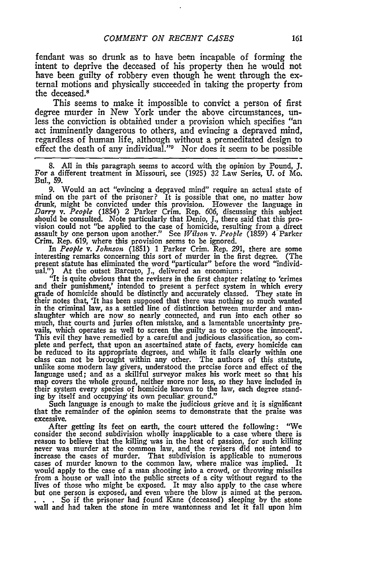fendant was so drunk as to have been incapable of forming the intent to deprive the deceased of his property then he would not have been guilty of robbery even though he went through the external motions and physically succeeded in taking the property from the deceased.<sup>8</sup>

This seems to make it impossible to convict a person of first degree murder in New York under the above circumstances, unless the conviction is obtained under a provision which specifies "an act imminently dangerous to others, and evincing a depraved mind, regardless of human life, although without a premeditated design to effect the death of any individual."<sup>9</sup> Nor does it seem to be possible

**8.** All in this paragraph seems to accord with the opinion **by** Pound, **J.** For a different treatment in Missouri, see (1925) 32 Law Series, U. of Mo. Bul., **59.**

**9.** Would an act "evincing a depraved mind" require an actual state of mind on the part of the prisoner? It is possible that one, no matter how drunk, might be convicted under this provision. However the language in *Darry v. People* (1854) 2 Parker Crim. Rep. 606, discussing this subject should be consulted. Note particularly that Denio, **J.,** there said that this provision could not "be applied to the case of homicide, resulting from a direct assault by one person upon another." See *Wilson v. People* (1859) 4-Parker Crim. Rep. 619, where this provision seems to be ignored.<br>In People v. Johnson (1851) 1 Parker Crim. Rep. 291, there are some

In *People v. Johnson* (1851) 1 Parker Crim. Rep. 291, there are some interesting remarks concerning this sort of murder in the first degree. (The present statute has eliminated the word "particular" before the word "individual.") At the outset Barcuto, **J.,** delivered an encomium:

"It is quite obvious that the revisers in the first chapter relating to 'crimes and their punishment,' intended to present a perfect system in which every grade of homicide should be distinctly and accurately classed. They state in their notes that, 'It has been supposed that there was nothing so much wanted staughter which are now so nearly connected, and run into each other so<br>much, that courts and juries often mistake, and a lamentable uncertainty prevails, which operates as well to screen the guilty as to expose the innocent'. This evil they have remedied by a careful and judicious classification, so complete and perfect, that upon an ascertained state of facts, every homicide can<br>be reduced to its appropriate degrees, and while it falls clearly unlike some modern law givers, understood the precise force and effect of the language used; and as a skillful surveyor makes his work meet so that his map covers the whole ground, neither more nor less, so they have included in their system every species of homicide known to the law, each degree standing by itself and occupying its own peculiar ground."

Such language is enough to make the judicious grieve and it is significant that the remainder of the opinion seems to demonstrate that the praise was excessive.

After getting its feet on earth, the court uttered the following: "We consider the second subdivision wholly inapplicable to a case where there is reason to believe that the killing was in the heat of passion, for such killing never was murder at the common law, and the revisers did not intend to increase the cases of murder. That subdivision is applicable to numerous cases of murder known to the common law, where malice was implied. It would apply to the case of a man shooting into a crowd, or throwing missiles<br>from a house or wall into the public streets of a city without regard to the<br>lives of those who might be exposed. It may also apply to the case w but one person is exposed, and even where the blow is aimed at the person.<br>. . . So if the prisoner had found Kane (deceased) sleeping by the stone **wall** and had taken the stone in mere wantonness and let it fall upon him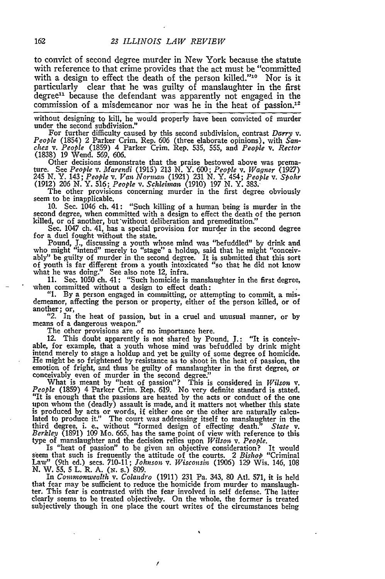to convict of second degree murder in New York because the statute with reference to that crime provides that the act must be "committed with a design to effect the death of the person killed."<sup>10</sup> Nor is it particularly clear that he was guilty of manslaughter in the first degree<sup>11</sup> because the defendant was apparently not engaged in the commission of a misdemeanor nor was he in the heat of passion.<sup>12</sup>

without designing to kill, he would properly have been convicted of murder under the second subdivision."

For further difficulty caused by this second subdivision, contrast *Darry v. People* (1854) 2 Parker Crim. Rep. 606 (three elaborate opinions), with *Sanchez v. People* (1859) 4 Parker Crim. Rep. 535, 555, and *People v. Rector* (1838) 19 Wend. 569, 606.

Other decisions demonstrate that the praise bestowed above was prema-<br>ture. See People v. Marendi (1915) 213 N. Y. 600; People v. Wagner (1927)<br>245 N. Y. 143; People v. Van Norman (1921) 231 N. Y. 454; People v. Spohr (1912) 206 N. Y. 516; *People v. Schleinan* (1910) 197 N. Y. 383.

The other provisions concerning murder in the first degree obviously seem to be inapplicable.

10. Sec. 1046 ch. 41: "Such killing of a human being is murder in the second degree, when committed with a design to effect the death of the person killed, or of another, but without deliberation and premeditation."

Sec. 1047 ch. 41, has a special provision for murder in the second degree for a duel fought without the state.

Pound, J., discussing a youth whose mind was "befuddled" by drink and who might "intend" merely to "stage" a holdup, said that he might "conceivably" be guilty of murder in the second degree. It is submitted that this sort of youth is far different from a youth intoxicated "so that he did not know what he was doing." See also note 12, infra.

11. Sec. 1050 ch. 41: "Such homicide is manslaughter in the first degree, when committed without a design to effect death: when committed without a design to effect death:<br>"1. By a person engaged in committing, or attempting to commit, a mis-

demeanor, affecting the person or property, either of the person killed, or of

another; or, *"2.* In the heat of passion, but in a cruel and unusual manner, or by "2. In the means weapon."

The other provisions are of no importance here.

12. This doubt apparently is not shared by Pound, J.: "It is conceivable, for example, that a youth whose mind was befuddled by drink might intend merely to stage a holdup and yet be guilty of some degree of homicide. He might be so frightened by resistance as to shoot in the heat of passion, the emotion of fright, and thus be guilty of manslaughter in the first degree, or conceivably even of murder in the second degree."

What is meant by "heat of passion"? This is considered in *Wilson v. People* (1859) 4 Parker Crim. Rep. 619. No very definite standard is stated. "It is enough that the passions are heated by the acts or conduct of the one<br>upon whom the (deadly) assault is made, and it matters not whether this state<br>is produced by acts or words, if either one or the other are natura third degree, i. e., without "formed design of effecting death." *State v. Berkleo.* (1891) 109 Mo. 665, has the same point of view with reference to this

type of manslaughter and the decision relies upon *Wilson v. People*.<br>
Is "heat of passion" to be given an objective consideration? It would<br>
seem that such is frequently the attitude of the courts. 2 Bishop "Criminal<br>
Law

that fear may be sufficient to reduce the homicide from murder to manslaughter. This fear is contrasted with the fear involved in self defense. The latter clearly seems to be treated objectively. On the whole, the former is treated subjectively though in one place the court writes of the circumstances being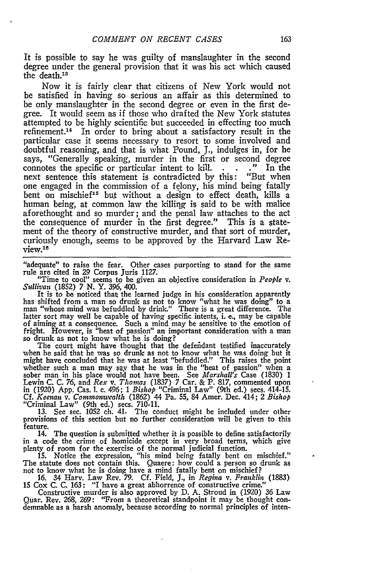It is possible to say he was guilty of manslaughter in the second degree under the general provision that it was his act which caused the death.13

Now it is fairly clear that citizens of New York would not be satisfied in having so serious an affair as this determined to be only manslaughter in the second degree or even in the first degree. It would seem as if those who drafted the New York statutes attempted to be highly scientific but succeeded in effecting too much refinement.<sup>14</sup> In order to bring about a satisfactory result in the particular case it seems necessary to resort to some involved and doubtful reasoning, and that is what Pound, J., indulges in, for he says, "Generally speaking, murder in the first or second degree connotes the specific or particular intent to kill. . . . ." In the connotes the specific or particular intent to kill. next sentence this statement is contradicted by this: "But when one engaged in the commission of a felony, his mind being fatally bent on mischief<sup>15</sup> but without a design to effect death, kills a human being, at common law the killing is said to be with malice aforethought and so murder; and the penal law attaches to the act the consequence of murder in the first degree." This is a statement of the theory of constructive murder, and that sort of murder, curiously enough, seems to be approved by the Harvard Law Review.18

"adequate" to raise the fear. Other cases purporting to stand for the same rule are cited in 29 Corpus Juris 1127.

"Time to cool" seems to be given an objective consideration in *People v. Sullivan* (1852) 7 **N.** Y. *396, 400.*

It is to be noticed that the learned judge in his consideration apparently has shifted from a man so drunk as not to know "what he was doing" to a man "whose mind was befuddled by drink." There is a great difference. The latter sort may well be capable of having specific intents, i. e., may be capable of aiming at a consequence. Such a mind may be sensitive to the emotion of fright. However, is "heat of passion" an important consideration with a man<br>so drunk as not to know what he is doing?<br>The court might have thought that the defendant testified inaccurately<br>when he said that he was so drunk

might have concluded that he was at least "befuddled." This raises the point whether such a man may say that he was in the "heat of passion" when a sober man in his place would not have been. See *Marshall's* Case (1830) 1<br>Lewin C. C. 76, and *Rex* v. Thomas (1837) 7 Car. & P. 817, commented upon<br>in (1920) App. Cas. 1. c. 496; 1 Bishop "Criminal Law" (9th ed.) secs. 4 **Cf.** *Keenan v. Commonwealth* (1862) 44 Pa. 55, 84 Amer. Dec. 414; 2 *Bishop* "Criminal Law" (9th ed.) secs. 710-11. **13.** See sec. 1052 ch. 41. The conduct might be included under other

provisions of this section but no further consideration will be given to this feature.

14. The question is submitted whether it is possible to define satisfactorily in a code the crime of homicide except in very broad terms, which give plenty of room for the exercise of the normal judicial function.

15. Notice the expression, "his mind being fatally bent on mischief." The statute does not contain this. Quaere: how could a person so drunk as

not to know what he is doing have a mind fatally bent on mischief?<br>16. 34 Harv. Law Rev. 79. Cf. Field, J., in Regina v. Franklin (1883<br>15 Cox C. C. 163: "I have a great abhorrence of constructive crime."

Constructive murder is also approved by D. A. Stroud in (1920) 36 Law Quar. Rev. 268, 269: "From a theoretical standpoint it may be thought condemnable as a harsh anomaly, because according to normal principles of inten-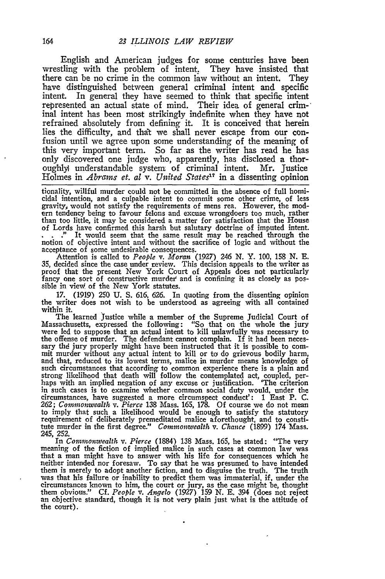English and American judges for some centuries have been wrestling with the problem of intent, They have insisted that there can be no crime in the common law without an intent. They have distinguished between general criminal intent and specific intent. In general they have seemed to think that specific intent represented an actual state of mind. Their idea of general criminal intent has been most strikingly indefinite when they have not refrained absolutely from defining it. It is conceived that herein lies the difficulty, and **that** we shall never escape from our confusion until we agree upon some understanding of the meaning of this very important term. So far as the writer has read he has only discovered one judge who, apparently, has disclosed a thoroughly understandable system of criminal intent. Mr. Justice Holmes in *Abrarms* et. at *v. United States' <sup>7</sup>*in a dissenting opinion

tionality, willful murder could not be committed in the absence of full homicidal intention, and a culpable intent to commit some other crime, of less gravity, would not satisfy the requirements of mens rea. However, the modern tendency being to favour felons and excuse wrongdoers too much, rather than too little, it may be considered a matter for satisfaction that the House of Lords have confirmed this harsh but salutary doctrine of imputed intent. **."** It would seem that the same result may be reached through the notion of objective intent and without the sacrifice of logic and without the acceptance of some undesirable consequences.

Attention is called to *People v. Moran* (1927) 246 *N.* Y. 100, **158 N. E. 35,** decided since the case under review. This decision appeals to the writer as proof that the present New York Court of Appeals does not particularly fancy one sort of constructive murder and is confining it as closely as possible in view of the New York statutes.

17. (1919) 250 **U. S.** 616, 626. In quoting from the dissenting opinion the writer does not wish to be understood as agreeing with all contained within it.

The learned Justice while a member of the Supreme Judicial Court of Massachusetts, expressed the following: "So that on the whole the jury were led to suppose that an actual intent to kill unlawfully was necessary to the offense of murder. The defendant cannot complain. If it had been necessary the jury properly might have been instructed that it is possible to commit murder without any actual intent to kill or to do grievous bodily ha mit murder without any actual intent to kill or to do grievous bodily harm, and that, reduced to its lowest terms, malice in murder means knowledge of such circumstances that according to common experience there is a plain and strong likelihood that death will follow the contemplated act, coupled, perhaps with an implied negation of any excuse or justification. 'The criterion in such cases is to examine whether common social duty would, under the circumstances, have suggested a more circumspect conduct': 1 East P. C.<br>262; *Commonwealth* v. *Pierce* 138 Mass. 165, 178. Of course we do not mean<br>to imply that such a likelihood would be enough to satisfy the statutory<br> tute murder in the first degree." *Commonwealth v. Chance* (1899) 174 Mass. 245, **252.**

In *Commonwealth v. Pierce* (1884) **138** Mass. 165, he stated: "The very meaning of the fiction of implied malice in such cases at common law was that a man might have to answer with his life for consequences which he neither intended nor foresaw. To say that he was presumed to have intended them is merely to adopt another fiction, and to disguise the truth. The truth was that his failure or inability to predict them was immaterial, if, under the circumstances known to him, the court or jury, as the case might be, thought them obvious." Cf. *People v. Angelo* (1927) 159 N. E. 394 (does not reject an objective standard, though it is not very plain just what is the attitude of the court).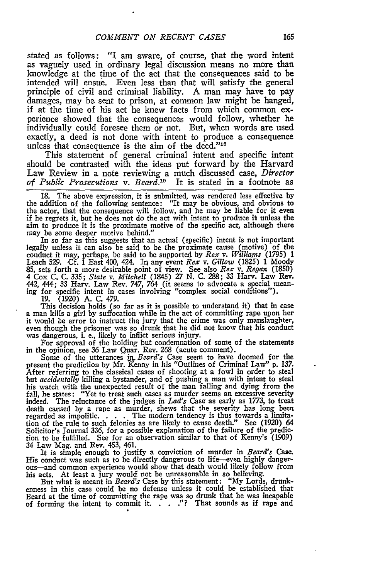stated as follows: "I am aware, of course, that the word intent as vaguely used in ordinary legal discussion means no more than knowledge at the time of the act that the consequences said to be intended will ensue. Even less than that will satisfy the general principle of civil and criminal liability. A man may have to pay damages, may be sent to prison, at common law might be hanged, if at the time of his act he knew facts from which common experience showed that the consequences would follow, whether he individually could foresee them or not. But, when words are used exactly, a deed is not done with intent to produce a consequence unless that consequence is the aim of the deed."18

This statement of general criminal intent and specific intent should be contrasted with the ideas put forward by the Harvard Law Review in a note reviewing a much discussed case, *Director of Public Prosecutions v. Beard.'9* It is stated in a footnote as

18. The above expression, it is submitted, was rendered less effective by the addition of the following sentence: "It may be obvious, and obvious to the actor, that the consequence will follow, and he may be liable for it even if he regrets it, but he does not do the act with intent to produce it unless the aim to produce it is the proximate motive of the specific act, although there may be some deeper motive behind."

In so far as this suggests that an actual (specific) intent is not important legally unless it can also be said to be the proximate cause (motive) of the conduct it may, perhaps, be said to be supported by *Rex v. Williams* (1795) 1<br>Leach 529. Cf. 1 East 400, 424. In any event *Rex* v. Gillow (1825) 1 Moody 85, sets forth a more desirable point of view. See also *Rex v. Regan* (1850) 4 Cox **C.** C. **335;** *State v. Mitchell* (1845) *27* N. C. 288; **33** Harv. Law Rev. 442, 444; **33** Harv. Law Rev. 747, 764 (it seems to advocate a special mean- ing for specific intent in cases involving "complex social conditions").

19. (1920) A. C. 479. a man kills a girl by suffocation while in the act of committing rape upon her it would be error to instruct the jury that the crime was only manslaughter, it would be error to instruct the jury that the crime was only manslaughter<br>even though the prisoner was so drunk that he did not know that his conduct<br>was dangerous, i. e., likely to inflict serious injury.<br>For approval o

in the opinion, see **36** Law Quar. Rev. *268* (acute comment).

Some of the utterances *ih Beard's* Case seem to have doomed for the present the prediction by Mr. Kenny in his "Outlines of Criminal Law" p. 137. After referring to the classical cases of shooting at a fowl in order to steal but *accidentally* killing a bystander, and of pushing a man with intent to steal his watch with the unexpected result of the man falling and dying from the fall, he states: "Yet to treat such cases as murder seems an excessive severity indeed. The reluctance of the judges in *Lad's* Case as early as *1773,* to treat death caused by a rape as murder, shews that the severity has long been regarded as impolitic. . **.** . The modern tendency is thus towards a limitation of the rule to such felonies as are likely to cause death." See (1920) 64 Solicitor's Journal 336, for a possible explanation of the failure of the prediction to be fulfilled. See for an observation similar to that of Kenny's (1909) 34 Law Mag. and Rev. 453, 461.

It is simple enough to justify a conviction of murder in *Beard's Came.* His conduct was such as to be directly dangerous to life-even highly dangerous-and common experience would show that death would likely follow from his acts. At least a jury would not be unreasonable in so believing.<br>But what is meant in *Beard's* Case by this statement: "My Lords, drunk-

But what is meant in *Beard's* Case by this statement: "My Lords, drunk-<br>enness in this case could be no defense unless it could be established that Beard at the time of committing the rape was so drunk that he was incapable of forming the intent to commit it.  $\therefore$  . . "? That sounds as if rape and